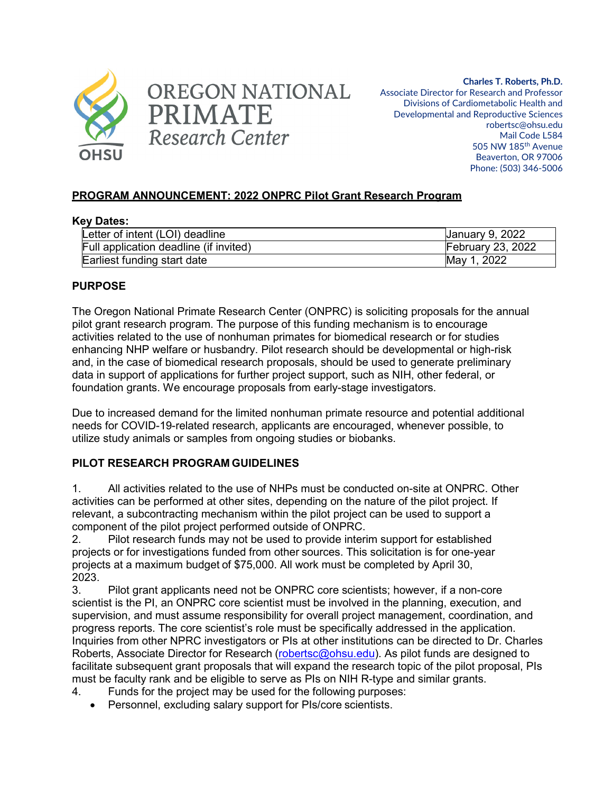



**Charles T. Roberts, Ph.D.** Associate Director for Research and Professor Divisions of Cardiometabolic Health and Developmental and Reproductive Sciences robertsc@ohsu.edu Mail Code L584 505 NW 185th Avenue Beaverton, OR 97006 Phone: (503) 346-5006

## **PROGRAM ANNOUNCEMENT: 2022 ONPRC Pilot Grant Research Program**

#### **Key Dates:**

| Letter of intent (LOI) deadline        | <b>January 9, 2022</b>   |
|----------------------------------------|--------------------------|
| Full application deadline (if invited) | <b>February 23, 2022</b> |
| Earliest funding start date            | May 1, 2022              |

#### **PURPOSE**

The Oregon National Primate Research Center (ONPRC) is soliciting proposals for the annual pilot grant research program. The purpose of this funding mechanism is to encourage activities related to the use of nonhuman primates for biomedical research or for studies enhancing NHP welfare or husbandry. Pilot research should be developmental or high-risk and, in the case of biomedical research proposals, should be used to generate preliminary data in support of applications for further project support, such as NIH, other federal, or foundation grants. We encourage proposals from early-stage investigators.

Due to increased demand for the limited nonhuman primate resource and potential additional needs for COVID-19-related research, applicants are encouraged, whenever possible, to utilize study animals or samples from ongoing studies or biobanks.

## **PILOT RESEARCH PROGRAM GUIDELINES**

1. All activities related to the use of NHPs must be conducted on-site at ONPRC. Other activities can be performed at other sites, depending on the nature of the pilot project. If relevant, a subcontracting mechanism within the pilot project can be used to support a component of the pilot project performed outside of ONPRC.

2. Pilot research funds may not be used to provide interim support for established projects or for investigations funded from other sources. This solicitation is for one-year projects at a maximum budget of \$75,000. All work must be completed by April 30, 2023.

3. Pilot grant applicants need not be ONPRC core scientists; however, if a non-core scientist is the PI, an ONPRC core scientist must be involved in the planning, execution, and supervision, and must assume responsibility for overall project management, coordination, and progress reports. The core scientist's role must be specifically addressed in the application. Inquiries from other NPRC investigators or PIs at other institutions can be directed to Dr. Charles Roberts, Associate Director for Research [\(robertsc@ohsu.edu\)](mailto:robertsc@ohsu.edu). As pilot funds are designed to facilitate subsequent grant proposals that will expand the research topic of the pilot proposal, PIs must be faculty rank and be eligible to serve as PIs on NIH R-type and similar grants.

- 4. Funds for the project may be used for the following purposes:
	- Personnel, excluding salary support for PIs/core scientists.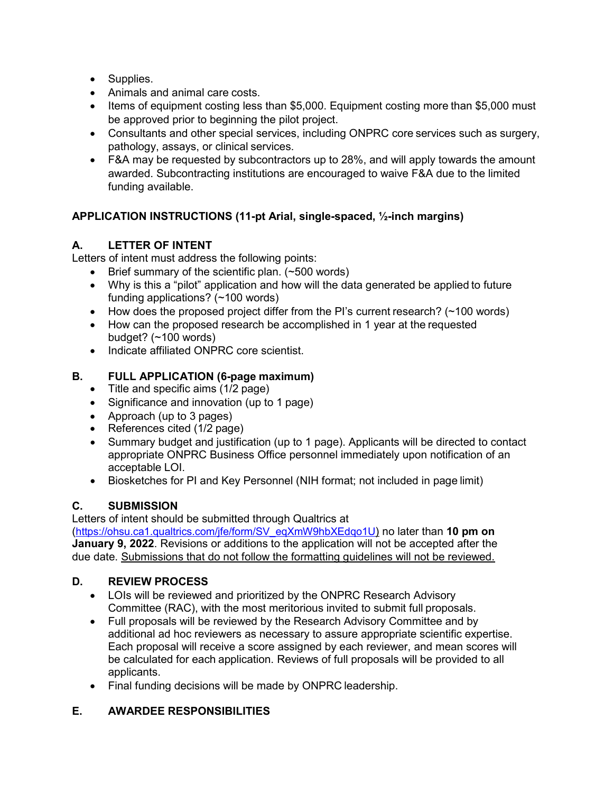- Supplies.
- Animals and animal care costs.
- Items of equipment costing less than \$5,000. Equipment costing more than \$5,000 must be approved prior to beginning the pilot project.
- Consultants and other special services, including ONPRC core services such as surgery, pathology, assays, or clinical services.
- F&A may be requested by subcontractors up to 28%, and will apply towards the amount awarded. Subcontracting institutions are encouraged to waive F&A due to the limited funding available.

# **APPLICATION INSTRUCTIONS (11-pt Arial, single-spaced, ½-inch margins)**

# **A. LETTER OF INTENT**

Letters of intent must address the following points:

- Brief summary of the scientific plan. (~500 words)
- Why is this a "pilot" application and how will the data generated be applied to future funding applications? (~100 words)
- How does the proposed project differ from the PI's current research? (~100 words)
- How can the proposed research be accomplished in 1 year at the requested budget? (~100 words)
- Indicate affiliated ONPRC core scientist.

## **B. FULL APPLICATION (6-page maximum)**

- Title and specific aims (1/2 page)
- Significance and innovation (up to 1 page)
- Approach (up to 3 pages)
- References cited (1/2 page)
- Summary budget and justification (up to 1 page). Applicants will be directed to contact appropriate ONPRC Business Office personnel immediately upon notification of an acceptable LOI.
- Biosketches for PI and Key Personnel (NIH format; not included in page limit)

## **C. SUBMISSION**

Letters of intent should be submitted through Qualtrics at [\(https://ohsu.ca1.qualtrics.com/jfe/form/SV\\_eqXmW9hbXEdqo1U\)](https://ohsu.ca1.qualtrics.com/jfe/form/SV_eqXmW9hbXEdqo1U) no later than **10 pm on January 9, 2022**. Revisions or additions to the application will not be accepted after the due date. Submissions that do not follow the formatting guidelines will not be reviewed.

## **D. REVIEW PROCESS**

- LOIs will be reviewed and prioritized by the ONPRC Research Advisory Committee (RAC), with the most meritorious invited to submit full proposals.
- Full proposals will be reviewed by the Research Advisory Committee and by additional ad hoc reviewers as necessary to assure appropriate scientific expertise. Each proposal will receive a score assigned by each reviewer, and mean scores will be calculated for each application. Reviews of full proposals will be provided to all applicants.
- Final funding decisions will be made by ONPRC leadership.

## **E. AWARDEE RESPONSIBILITIES**